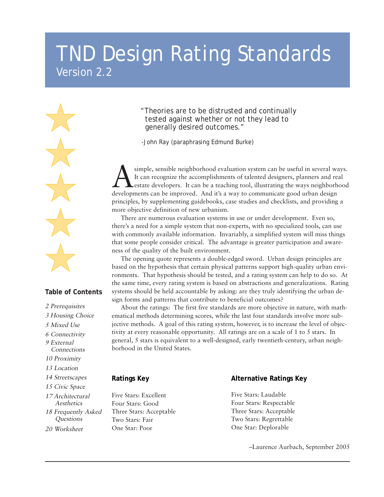# TND Design Rating Standards Version 2.2

#### **Table of Contents**

2 Prerequisites 3 Housing Choice 5 Mixed Use 6 Connectivity 17 Architectural **Aesthetics** 18 Frequently Asked **Questions** 9 External **Connections** 10 Proximity 13 Location 14 Streetscapes 15 Civic Space 20 Worksheet

"Theories are to be distrusted and continually tested against whether or not they lead to generally desired outcomes."

-John Ray (paraphrasing Edmund Burke)

simple, sensible neighborhood evaluation system can be useful in several ways. It can recognize the accomplishments of talented designers, planners and real estate developers. It can be a teaching tool, illustrating the ways neighborhood developments can be improved. And it's a way to communicate good urban design principles, by supplementing guidebooks, case studies and checklists, and providing a more objective definition of new urbanism.

There are numerous evaluation systems in use or under development. Even so, there's a need for a simple system that non-experts, with no specialized tools, can use with commonly available information. Invariably, a simplified system will miss things that some people consider critical. The advantage is greater participation and awareness of the quality of the built environment.

The opening quote represents a double-edged sword. Urban design principles are based on the hypothesis that certain physical patterns support high-quality urban environments. That hypothesis should be tested, and a rating system can help to do so. At the same time, every rating system is based on abstractions and generalizations. Rating systems should be held accountable by asking: are they truly identifying the urban design forms and patterns that contribute to beneficial outcomes?

About the ratings: The first five standards are more objective in nature, with mathematical methods determining scores, while the last four standards involve more subjective methods. A goal of this rating system, however, is to increase the level of objectivity at every reasonable opportunity. All ratings are on a scale of 1 to 5 stars. In general, 5 stars is equivalent to a well-designed, early twentieth-century, urban neighborhood in the United States.

#### **Ratings Key**

Five Stars: Excellent Four Stars: Good Three Stars: Acceptable Two Stars: Fair One Star: Poor

#### **Alternative Ratings Key**

Five Stars: Laudable Four Stars: Respectable Three Stars: Acceptable Two Stars: Regrettable One Star: Deplorable

–Laurence Aurbach, September 2005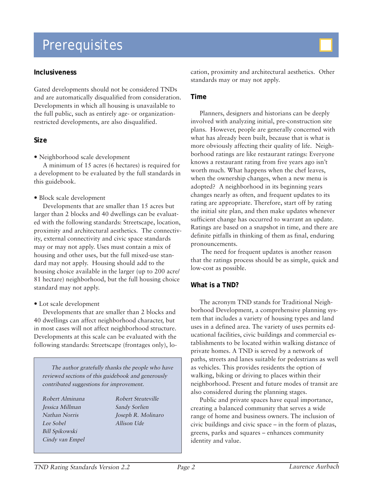# Prerequisites

#### **Inclusiveness**

Gated developments should not be considered TNDs and are automatically disqualified from consideration. Developments in which all housing is unavailable to the full public, such as entirely age- or organizationrestricted developments, are also disqualified.

#### **Size**

• Neighborhood scale development

A minimum of 15 acres (6 hectares) is required for a development to be evaluated by the full standards in this guidebook.

• Block scale development

Developments that are smaller than 15 acres but larger than 2 blocks and 40 dwellings can be evaluated with the following standards: Streetscape, location, proximity and architectural aesthetics. The connectivity, external connectivity and civic space standards may or may not apply. Uses must contain a mix of housing and other uses, but the full mixed-use standard may not apply. Housing should add to the housing choice available in the larger (up to 200 acre/ 81 hectare) neighborhood, but the full housing choice standard may not apply.

• Lot scale development

Developments that are smaller than 2 blocks and 40 dwellings can affect neighborhood character, but in most cases will not affect neighborhood structure. Developments at this scale can be evaluated with the following standards: Streetscape (frontages only), lo-

The author gratefully thanks the people who have reviewed sections of this guidebook and generously contributed suggestions for improvement.

Robert Alminana Jessica Millman Nathan Norris Lee Sobel Bill Spikowski Cindy van Empel Robert Steuteville Sandy Sorlien Joseph R. Molinaro Allison Ude



cation, proximity and architectural aesthetics. Other standards may or may not apply.

#### **Time**

Planners, designers and historians can be deeply involved with analyzing initial, pre-construction site plans. However, people are generally concerned with what has already been built, because that is what is more obviously affecting their quality of life. Neighborhood ratings are like restaurant ratings: Everyone knows a restaurant rating from five years ago isn't worth much. What happens when the chef leaves, when the ownership changes, when a new menu is adopted? A neighborhood in its beginning years changes nearly as often, and frequent updates to its rating are appropriate. Therefore, start off by rating the initial site plan, and then make updates whenever sufficient change has occurred to warrant an update. Ratings are based on a snapshot in time, and there are definite pitfalls in thinking of them as final, enduring pronouncements.

 The need for frequent updates is another reason that the ratings process should be as simple, quick and low-cost as possible.

#### **What is a TND?**

The acronym TND stands for Traditional Neighborhood Development, a comprehensive planning system that includes a variety of housing types and land uses in a defined area. The variety of uses permits educational facilities, civic buildings and commercial establishments to be located within walking distance of private homes. A TND is served by a network of paths, streets and lanes suitable for pedestrians as well as vehicles. This provides residents the option of walking, biking or driving to places within their neighborhood. Present and future modes of transit are also considered during the planning stages.

Public and private spaces have equal importance, creating a balanced community that serves a wide range of home and business owners. The inclusion of civic buildings and civic space – in the form of plazas, greens, parks and squares – enhances community identity and value.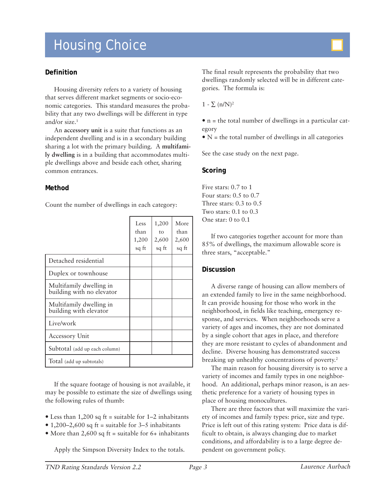# Housing Choice

#### **Definition**

Housing diversity refers to a variety of housing that serves different market segments or socio-economic categories. This standard measures the probability that any two dwellings will be different in type and/or size.<sup>1</sup>

An **accessory unit** is a suite that functions as an independent dwelling and is in a secondary building sharing a lot with the primary building. A **multifamily dwelling** is in a building that accommodates multiple dwellings above and beside each other, sharing common entrances.

#### **Method**

Count the number of dwellings in each category:

|                                                      | Less<br>than<br>1,200<br>sq ft | 1,200<br>to<br>2,600<br>sq ft | More<br>than<br>2,600<br>sq ft |
|------------------------------------------------------|--------------------------------|-------------------------------|--------------------------------|
| Detached residential                                 |                                |                               |                                |
| Duplex or townhouse                                  |                                |                               |                                |
| Multifamily dwelling in<br>building with no elevator |                                |                               |                                |
| Multifamily dwelling in<br>building with elevator    |                                |                               |                                |
| Live/work                                            |                                |                               |                                |
| <b>Accessory Unit</b>                                |                                |                               |                                |
| Subtotal (add up each column)                        |                                |                               |                                |
| Total (add up subtotals)                             |                                |                               |                                |

If the square footage of housing is not available, it may be possible to estimate the size of dwellings using the following rules of thumb:

- Less than 1,200 sq ft = suitable for  $1-2$  inhabitants
- 1,200–2,600 sq ft = suitable for 3–5 inhabitants
- More than 2,600 sq ft = suitable for  $6+$  inhabitants

Apply the Simpson Diversity Index to the totals.

The final result represents the probability that two dwellings randomly selected will be in different categories. The formula is:

 $1 - \sum (n/N)^2$ 

 $\bullet$  n = the total number of dwellings in a particular category

 $\bullet$  N = the total number of dwellings in all categories

See the case study on the next page.

#### **Scoring**

Five stars: 0.7 to 1 Four stars: 0.5 to 0.7 Three stars: 0.3 to 0.5 Two stars: 0.1 to 0.3 One star: 0 to 0.1

If two categories together account for more than 85% of dwellings, the maximum allowable score is three stars, "acceptable."

#### **Discussion**

A diverse range of housing can allow members of an extended family to live in the same neighborhood. It can provide housing for those who work in the neighborhood, in fields like teaching, emergency response, and services. When neighborhoods serve a variety of ages and incomes, they are not dominated by a single cohort that ages in place, and therefore they are more resistant to cycles of abandonment and decline. Diverse housing has demonstrated success breaking up unhealthy concentrations of poverty.<sup>2</sup>

The main reason for housing diversity is to serve a variety of incomes and family types in one neighborhood. An additional, perhaps minor reason, is an aesthetic preference for a variety of housing types in place of housing monocultures.

There are three factors that will maximize the variety of incomes and family types: price, size and type. Price is left out of this rating system: Price data is difficult to obtain, is always changing due to market conditions, and affordability is to a large degree dependent on government policy.

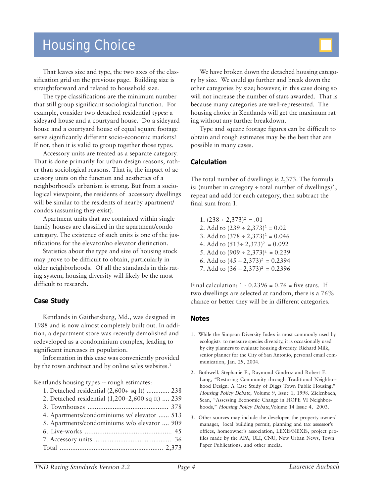## Housing Choice

That leaves size and type, the two axes of the classification grid on the previous page. Building size is straightforward and related to household size.

The type classifications are the minimum number that still group significant sociological function. For example, consider two detached residential types: a sideyard house and a courtyard house. Do a sideyard house and a courtyard house of equal square footage serve significantly different socio-economic markets? If not, then it is valid to group together those types.

Accessory units are treated as a separate category. That is done primarily for urban design reasons, rather than sociological reasons. That is, the impact of accessory units on the function and aesthetics of a neighborhood's urbanism is strong. But from a sociological viewpoint, the residents of accessory dwellings will be similar to the residents of nearby apartment/ condos (assuming they exist).

Apartment units that are contained within single family houses are classified in the apartment/condo category. The existence of such units is one of the justifications for the elevator/no elevator distinction.

Statistics about the type and size of housing stock may prove to be difficult to obtain, particularly in older neighborhoods. Of all the standards in this rating system, housing diversity will likely be the most difficult to research.

#### **Case Study**

Kentlands in Gaithersburg, Md., was designed in 1988 and is now almost completely built out. In addition, a department store was recently demolished and redeveloped as a condominium complex, leading to significant increases in population.

Information in this case was conveniently provided by the town architect and by online sales websites.<sup>3</sup>

Kentlands housing types -- rough estimates:

1. Detached residential (2,600+ sq ft) ............. 238 2. Detached residential (1,200–2,600 sq ft) .... 239 3. Townhouses ............................................. 378 4. Apartments/condominiums w/ elevator ...... 513 5. Apartments/condominiums w/o elevator .... 909 6. Live-works ................................................ 45 7. Accessory units ............................................. 36 Total .......................................................... 2,373

We have broken down the detached housing category by size. We could go further and break down the other categories by size; however, in this case doing so will not increase the number of stars awarded. That is because many categories are well-represented. The housing choice in Kentlands will get the maximum rating without any further breakdown.

Type and square footage figures can be difficult to obtain and rough estimates may be the best that are possible in many cases.

#### **Calculation**

The total number of dwellings is 2,373. The formula is: (number in category  $\div$  total number of dwellings)<sup>2</sup>, repeat and add for each category, then subtract the final sum from 1.

1.  $(238 \div 2,373)^2 = .01$ 2. Add to  $(239 \div 2,373)^2 = 0.02$ 3. Add to  $(378 \div 2,373)^2 = 0.046$ 4. Add to  $(513 \div 2,373)^2 = 0.092$ 5. Add to  $(909 \div 2,373)^2 = 0.239$ 6. Add to  $(45 \div 2,373)^2 = 0.2394$ 7. Add to  $(36 \div 2,373)^2 = 0.2396$ 

Final calculation:  $1 - 0.2396 = 0.76$  = five stars. If two dwellings are selected at random, there is a 76% chance or better they will be in different categories.

- 1. While the Simpson Diversity Index is most commonly used by ecologists to measure species diversity, it is occasionally used by city planners to evaluate housing diversity. Richard Milk, senior planner for the City of San Antonio, personal email communication, Jan. 29, 2004.
- 2. Bothwell, Stephanie E., Raymond Gindroz and Robert E. Lang, "Restoring Community through Traditional Neighborhood Design: A Case Study of Diggs Town Public Housing," Housing Policy Debate, Volume 9, Issue 1, 1998. Zielenbach, Sean, "Assessing Economic Change in HOPE VI Neighborhoods," Housing Policy Debate, Volume 14 Issue 4, 2003.
- 3. Other sources may include the developer, the property owner/ manager, local building permit, planning and tax assessor's offices, homeowner's association, LEXIS/NEXIS, project profiles made by the APA, ULI, CNU, New Urban News, Town Paper Publications, and other media.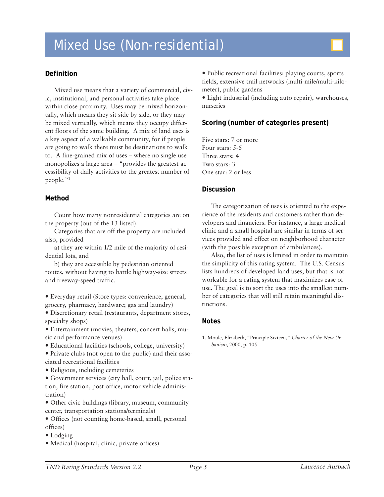# Mixed Use (Non-residential)

### **Definition**

Mixed use means that a variety of commercial, civic, institutional, and personal activities take place within close proximity. Uses may be mixed horizontally, which means they sit side by side, or they may be mixed vertically, which means they occupy different floors of the same building. A mix of land uses is a key aspect of a walkable community, for if people are going to walk there must be destinations to walk to. A fine-grained mix of uses – where no single use monopolizes a large area – "provides the greatest accessibility of daily activities to the greatest number of people."1

#### **Method**

Count how many nonresidential categories are on the property (out of the 13 listed).

Categories that are off the property are included also, provided

a) they are within 1/2 mile of the majority of residential lots, and

b) they are accessible by pedestrian oriented routes, without having to battle highway-size streets and freeway-speed traffic.

y Everyday retail (Store types: convenience, general, grocery, pharmacy, hardware; gas and laundry)

 $\bullet$  Discretionary retail (restaurants, department stores, specialty shops)

• Entertainment (movies, theaters, concert halls, music and performance venues)

• Educational facilities (schools, college, university)

y Private clubs (not open to the public) and their associated recreational facilities

- Religious, including cemeteries
- Government services (city hall, court, jail, police station, fire station, post office, motor vehicle administration)
- Other civic buildings (library, museum, community center, transportation stations/terminals)
- Offices (not counting home-based, small, personal offices)
- $\bullet$  Lodging
- Medical (hospital, clinic, private offices)

• Public recreational facilities: playing courts, sports fields, extensive trail networks (multi-mile/multi-kilometer), public gardens

• Light industrial (including auto repair), warehouses, nurseries

## **Scoring (number of categories present)**

Five stars: 7 or more Four stars: 5-6 Three stars: 4 Two stars: 3 One star: 2 or less

#### **Discussion**

The categorization of uses is oriented to the experience of the residents and customers rather than developers and financiers. For instance, a large medical clinic and a small hospital are similar in terms of services provided and effect on neighborhood character (with the possible exception of ambulances).

Also, the list of uses is limited in order to maintain the simplicity of this rating system. The U.S. Census lists hundreds of developed land uses, but that is not workable for a rating system that maximizes ease of use. The goal is to sort the uses into the smallest number of categories that will still retain meaningful distinctions.

#### **Notes**

1. Moule, Elizabeth, "Principle Sixteen," Charter of the New Urbanism, 2000, p. 105

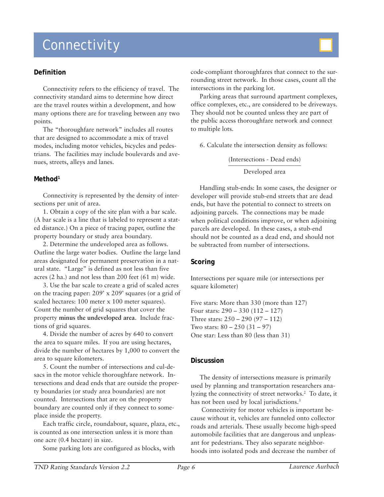# **Connectivity**

#### **Definition**

Connectivity refers to the efficiency of travel. The connectivity standard aims to determine how direct are the travel routes within a development, and how many options there are for traveling between any two points.

The "thoroughfare network" includes all routes that are designed to accommodate a mix of travel modes, including motor vehicles, bicycles and pedestrians. The facilities may include boulevards and avenues, streets, alleys and lanes.

#### **Method1**

Connectivity is represented by the density of intersections per unit of area.

1. Obtain a copy of the site plan with a bar scale. (A bar scale is a line that is labeled to represent a stated distance.) On a piece of tracing paper, outline the property boundary or study area boundary.

2. Determine the undeveloped area as follows. Outline the large water bodies. Outline the large land areas designated for permanent preservation in a natural state. "Large" is defined as not less than five acres (2 ha.) and not less than 200 feet (61 m) wide.

3. Use the bar scale to create a grid of scaled acres on the tracing paper: 209' x 209' squares (or a grid of scaled hectares: 100 meter x 100 meter squares). Count the number of grid squares that cover the property **minus the undeveloped area**. Include fractions of grid squares.

4. Divide the number of acres by 640 to convert the area to square miles. If you are using hectares, divide the number of hectares by 1,000 to convert the area to square kilometers.

5. Count the number of intersections and cul-desacs in the motor vehicle thoroughfare network. Intersections and dead ends that are outside the property boundaries (or study area boundaries) are not counted. Intersections that are on the property boundary are counted only if they connect to someplace inside the property.

Each traffic circle, roundabout, square, plaza, etc., is counted as one intersection unless it is more than one acre (0.4 hectare) in size.

Some parking lots are configured as blocks, with

code-compliant thoroughfares that connect to the surrounding street network. In those cases, count all the intersections in the parking lot.

Parking areas that surround apartment complexes, office complexes, etc., are considered to be driveways. They should not be counted unless they are part of the public access thoroughfare network and connect to multiple lots.

6. Calculate the intersection density as follows:

(Intersections - Dead ends) \_\_\_\_\_\_\_\_\_\_\_\_\_\_\_\_\_\_\_\_\_\_\_

Developed area

Handling stub-ends: In some cases, the designer or developer will provide stub-end streets that are dead ends, but have the potential to connect to streets on adjoining parcels. The connections may be made when political conditions improve, or when adjoining parcels are developed. In these cases, a stub-end should not be counted as a dead end, and should not be subtracted from number of intersections.

#### **Scoring**

Intersections per square mile (or intersections per square kilometer)

Five stars: More than 330 (more than 127) Four stars: 290 – 330 (112 – 127) Three stars: 250 – 290 (97 – 112) Two stars: 80 – 250 (31 – 97) One star: Less than 80 (less than 31)

#### **Discussion**

The density of intersections measure is primarily used by planning and transportation researchers analyzing the connectivity of street networks.2 To date, it has not been used by local jurisdictions.<sup>3</sup>

 Connectivity for motor vehicles is important because without it, vehicles are funneled onto collector roads and arterials. These usually become high-speed automobile facilities that are dangerous and unpleasant for pedestrians. They also separate neighborhoods into isolated pods and decrease the number of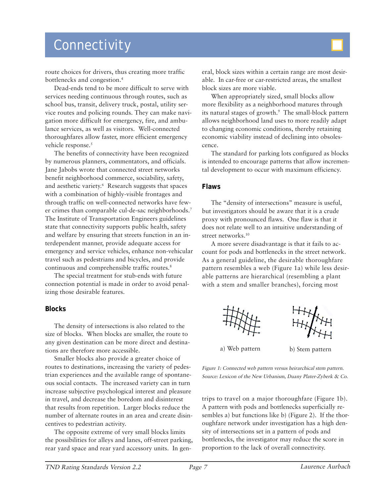## **Connectivity**

route choices for drivers, thus creating more traffic bottlenecks and congestion.4

Dead-ends tend to be more difficult to serve with services needing continuous through routes, such as school bus, transit, delivery truck, postal, utility service routes and policing rounds. They can make navigation more difficult for emergency, fire, and ambulance services, as well as visitors. Well-connected thoroughfares allow faster, more efficient emergency vehicle response.<sup>5</sup>

The benefits of connectivity have been recognized by numerous planners, commentators, and officials. Jane Jabobs wrote that connected street networks benefit neighborhood commerce, sociability, safety, and aesthetic variety.6 Research suggests that spaces with a combination of highly-visible frontages and through traffic on well-connected networks have fewer crimes than comparable cul-de-sac neighborhoods.7 The Institute of Transportation Engineers guidelines state that connectivity supports public health, safety and welfare by ensuring that streets function in an interdependent manner, provide adequate access for emergency and service vehicles, enhance non-vehicular travel such as pedestrians and bicycles, and provide continuous and comprehensible traffic routes.8

The special treatment for stub-ends with future connection potential is made in order to avoid penalizing those desirable features.

#### **Blocks**

The density of intersections is also related to the size of blocks. When blocks are smaller, the route to any given destination can be more direct and destinations are therefore more accessible.

Smaller blocks also provide a greater choice of routes to destinations, increasing the variety of pedestrian experiences and the available range of spontaneous social contacts. The increased variety can in turn increase subjective psychological interest and pleasure in travel, and decrease the boredom and disinterest that results from repetition. Larger blocks reduce the number of alternate routes in an area and create disincentives to pedestrian activity.

The opposite extreme of very small blocks limits the possibilities for alleys and lanes, off-street parking, rear yard space and rear yard accessory units. In gen-



eral, block sizes within a certain range are most desirable. In car-free or car-restricted areas, the smallest block sizes are more viable.

When appropriately sized, small blocks allow more flexibility as a neighborhood matures through its natural stages of growth.<sup>9</sup> The small-block pattern allows neighborhood land uses to more readily adapt to changing economic conditions, thereby retaining economic viability instead of declining into obsolescence.

The standard for parking lots configured as blocks is intended to encourage patterns that allow incremental development to occur with maximum efficiency.

#### **Flaws**

The "density of intersections" measure is useful, but investigators should be aware that it is a crude proxy with pronounced flaws. One flaw is that it does not relate well to an intuitive understanding of street networks.<sup>10</sup>

A more severe disadvantage is that it fails to account for pods and bottlenecks in the street network. As a general guideline, the desirable thoroughfare pattern resembles a web (Figure 1a) while less desirable patterns are hierarchical (resembling a plant with a stem and smaller branches), forcing most





a) Web pattern b) Stem pattern

Figure 1: Connected web pattern versus heirarchical stem pattern. Source: Lexicon of the New Urbanism, Duany Plater-Zyberk & Co.

trips to travel on a major thoroughfare (Figure 1b). A pattern with pods and bottlenecks superficially resembles a) but functions like b) (Figure 2). If the thoroughfare network under investigation has a high density of intersections set in a pattern of pods and bottlenecks, the investigator may reduce the score in proportion to the lack of overall connectivity.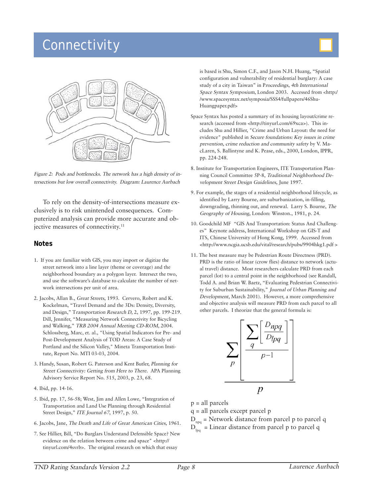# **Connectivity**



Figure 2: Pods and bottlenecks. The network has a high density of intersections but low overall connectivity. Diagram: Laurence Aurbach

To rely on the density-of-intersections measure exclusively is to risk unintended consequences. Computerized analysis can provide more accurate and objective measures of connectivity.11

#### **Notes**

- 1. If you are familiar with GIS, you may import or digitize the street network into a line layer (theme or coverage) and the neighborhood boundary as a polygon layer. Intersect the two, and use the software's database to calculate the number of network intersections per unit of area.
- 2. Jacobs, Allan B., Great Streets, 1993. Cervero, Robert and K. Kockelman, "Travel Demand and the 3Ds: Density, Diversity, and Design," Transportation Research D, 2, 1997, pp. 199-219. Dill, Jennifer, "Measuring Network Connectivity for Bicycling and Walking," TRB 2004 Annual Meeting CD-ROM, 2004. Schlossberg, Marc, et. al., "Using Spatial Indicators for Pre- and Post-Development Analysis of TOD Areas: A Case Study of Portland and the Silicon Valley," Mineta Transportation Institute, Report No. MTI 03-03, 2004.
- 3. Handy, Susan, Robert G. Paterson and Kent Butler, Planning for Street Connectivity: Getting from Here to There. APA Planning Advisory Service Report No. 515, 2003, p. 23, 68.
- 4. Ibid, pp. 14-16.
- 5. Ibid, pp. 17, 56-58; West, Jim and Allen Lowe, "Integration of Transportation and Land Use Planning through Residential Street Design," ITE Journal 67, 1997, p. 50.
- 6. Jacobs, Jane, The Death and Life of Great American Cities, 1961.
- 7. See Hillier, Bill, "Do Burglars Understand Defensible Space? New evidence on the relation between crime and space" <http:// tinyurl.com/4svrb>. The original research on which that essay

is based is Shu, Simon C.F., and Jason N.H. Huang, "Spatial configuration and vulnerability of residential burglary: A case study of a city in Taiwan" in Proceedings, 4th International Space Syntax Symposium, London 2003. Accessed from <http:/ /www.spacesyntax.net/symposia/SSS4/fullpapers/46Shu-Huangpaper.pdf>

- Space Syntax has posted a summary of its housing layout/crime research (accessed from <http://tinyurl.com/69xca>). This includes Shu and Hillier, "Crime and Urban Layout: the need for evidence" published in Secure foundations: Key issues in crime prevention, crime reduction and community safety by V. MacLaren, S. Ballintyne and K. Pease, eds., 2000, London, IPPR, pp. 224-248.
- 8. Institute for Transportation Engineers, ITE Transportation Planning Council Committee 5P-8, Traditional Neighborhood Development Street Design Guidelines, June 1997.
- 9. For example, the stages of a residential neighborhood lifecycle, as identified by Larry Bourne, are suburbanization, in-filling, downgrading, thinning out, and renewal. Larry S. Bourne, The Geography of Housing, London: Winston., 1981, p. 24.
- 10. Goodchild MF "GIS And Transportation: Status And Challenges" Keynote address, International Workshop on GIS-T and ITS, Chinese University of Hong Kong, 1999. Accessed from <http://www.ncgia.ucsb.edu/vital/research/pubs/9904hkg1.pdf >
- 11. The best measure may be Pedestrian Route Directness (PRD). PRD is the ratio of linear (crow flies) distance to network (actual travel) distance. Most researchers calculate PRD from each parcel (lot) to a central point in the neighborhood (see Randall, Todd A. and Brian W. Baetz, "Evaluating Pedestrian Connectivity for Suburban Sustainability," Journal of Urban Planning and Development, March 2001). However, a more comprehensive and objective analysis will measure PRD from each parcel to all other parcels. I theorize that the general formula is:



p = all parcels

q = all parcels except parcel p

- $D_{\text{mg}}$  = Network distance from parcel p to parcel q
- $D_{\text{log}}^{\text{max}}$  = Linear distance from parcel p to parcel q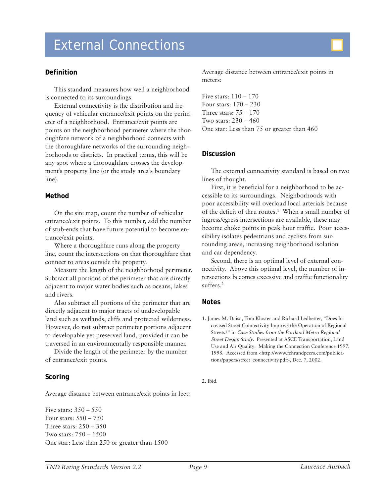# External Connections

#### **Definition**

This standard measures how well a neighborhood is connected to its surroundings.

External connectivity is the distribution and frequency of vehicular entrance/exit points on the perimeter of a neighborhood. Entrance/exit points are points on the neighborhood perimeter where the thoroughfare network of a neighborhood connects with the thoroughfare networks of the surrounding neighborhoods or districts. In practical terms, this will be any spot where a thoroughfare crosses the development's property line (or the study area's boundary line).

#### **Method**

On the site map, count the number of vehicular entrance/exit points. To this number, add the number of stub-ends that have future potential to become entrance/exit points.

Where a thoroughfare runs along the property line, count the intersections on that thoroughfare that connect to areas outside the property.

Measure the length of the neighborhood perimeter. Subtract all portions of the perimeter that are directly adjacent to major water bodies such as oceans, lakes and rivers.

Also subtract all portions of the perimeter that are directly adjacent to major tracts of undevelopable land such as wetlands, cliffs and protected wilderness. However, do **not** subtract perimeter portions adjacent to developable yet preserved land, provided it can be traversed in an environmentally responsible manner.

Divide the length of the perimeter by the number of entrance/exit points.

#### **Scoring**

Average distance between entrance/exit points in feet:

Five stars: 350 – 550 Four stars: 550 – 750 Three stars: 250 – 350 Two stars: 750 – 1500 One star: Less than 250 or greater than 1500 Average distance between entrance/exit points in meters:

Five stars: 110 – 170 Four stars: 170 – 230 Three stars: 75 – 170 Two stars: 230 – 460 One star: Less than 75 or greater than 460

#### **Discussion**

The external connectivity standard is based on two lines of thought.

First, it is beneficial for a neighborhood to be accessible to its surroundings. Neighborhoods with poor accessibility will overload local arterials because of the deficit of thru routes.1 When a small number of ingress/egress intersections are available, these may become choke points in peak hour traffic. Poor accessibility isolates pedestrians and cyclists from surrounding areas, increasing neighborhood isolation and car dependency.

Second, there is an optimal level of external connectivity. Above this optimal level, the number of intersections becomes excessive and traffic functionality suffers.2

#### **Notes**

1. James M. Daisa, Tom Kloster and Richard Ledbetter, "Does Increased Street Connectivity Improve the Operation of Regional Streets?" in Case Studies from the Portland Metro Regional Street Design Study. Presented at ASCE Transportation, Land Use and Air Quality: Making the Connection Conference 1997, 1998. Accessed from <http://www.fehrandpeers.com/publications/papers/street\_connectivity.pdf>, Dec. 7, 2002.

2. Ibid.

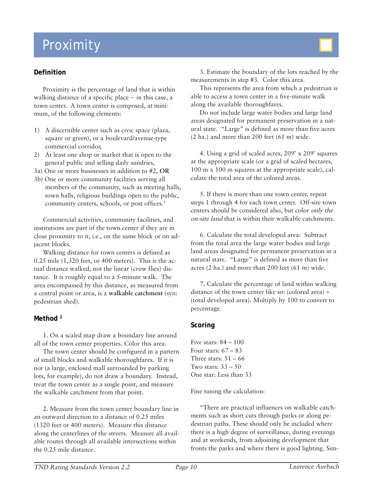# Proximity

### **Definition**

Proximity is the percentage of land that is within walking distance of a specific place -- in this case, a town center. A town center is composed, at minimum, of the following elements:

- 1) A discernible center such as civic space (plaza, square or green), or a boulevard/avenue-type commercial corridor,
- 2) At least one shop or market that is open to the general public and selling daily sundries,
- 3a) One or more businesses in addition to #2, **OR**
- 3b) One or more community facilities serving all members of the community, such as meeting halls, town halls, religious buildings open to the public, community centers, schools, or post offices.1

Commercial activities, community facilities, and institutions are part of the town center if they are in close proximity to it, i.e., on the same block or on adjacent blocks.

Walking distance for town centers is defined as 0.25 mile (1,320 feet, or 400 meters). This is the actual distance walked, not the linear (crow flies) distance. It is roughly equal to a 5-minute walk. The area encompassed by this distance, as measured from a central point or area, is a **walkable catchment** (syn: pedestrian shed).

#### **Method 2**

1. On a scaled map draw a boundary line around all of the town center properties. Color this area.

The town center should be configured in a pattern of small blocks and walkable thoroughfares. If it is not (a large, enclosed mall surrounded by parking lots, for example), do not draw a boundary. Instead, treat the town center as a single point, and measure the walkable catchment from that point.

2. Measure from the town center boundary line in an outward direction to a distance of 0.25 miles (1320 feet or 400 meters). Measure this distance along the centerlines of the streets. Measure all available routes through all available intersections within the 0.25 mile distance.

3. Estimate the boundary of the lots reached by the measurements in step #3. Color this area.

This represents the area from which a pedestrian is able to access a town center in a five-minute walk along the available thoroughfares.

Do not include large water bodies and large land areas designated for permanent preservation in a natural state. "Large" is defined as more than five acres (2 ha.) and more than 200 feet (61 m) wide.

4. Using a grid of scaled acres, 209' x 209' squares at the appropriate scale (or a grid of scaled hectares, 100 m x 100 m squares at the appropriate scale), calculate the total area of the colored areas.

5. If there is more than one town center, repeat steps 1 through 4 for each town center. Off-site town centers should be considered also, but color only the on-site land that is within their walkable catchments.

6. Calculate the total developed area: Subtract from the total area the large water bodies and large land areas designated for permanent preservation in a natural state. "Large" is defined as more than five acres (2 ha.) and more than 200 feet (61 m) wide.

7. Calculate the percentage of land within walking distance of the town center like so: (colored area)  $\div$ (total developed area). Multiply by 100 to convert to percentage.

#### **Scoring**

Five stars: 84 – 100 Four stars:  $67 - 83$ Three stars:  $51 - 66$ Two stars:  $33 - 50$ One star: Less than 33

Fine tuning the calculation:

"There are practical influences on walkable catchments such as short cuts through parks or along pedestrian paths. These should only be included where there is a high degree of surveillance, during evenings and at weekends, from adjoining development that fronts the parks and where there is good lighting. Sim-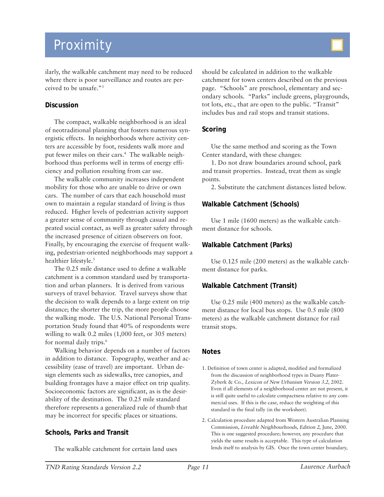# Proximity

ilarly, the walkable catchment may need to be reduced where there is poor surveillance and routes are perceived to be unsafe."3

#### **Discussion**

The compact, walkable neighborhood is an ideal of neotraditional planning that fosters numerous synergistic effects. In neighborhoods where activity centers are accessible by foot, residents walk more and put fewer miles on their cars.4 The walkable neighborhood thus performs well in terms of energy efficiency and pollution resulting from car use.

The walkable community increases independent mobility for those who are unable to drive or own cars. The number of cars that each household must own to maintain a regular standard of living is thus reduced. Higher levels of pedestrian activity support a greater sense of community through casual and repeated social contact, as well as greater safety through the increased presence of citizen observers on foot. Finally, by encouraging the exercise of frequent walking, pedestrian-oriented neighborhoods may support a healthier lifestyle.<sup>5</sup>

The 0.25 mile distance used to define a walkable catchment is a common standard used by transportation and urban planners. It is derived from various surveys of travel behavior. Travel surveys show that the decision to walk depends to a large extent on trip distance; the shorter the trip, the more people choose the walking mode. The U.S. National Personal Transportation Study found that 40% of respondents were willing to walk 0.2 miles  $(1,000 \text{ feet}, \text{ or } 305 \text{ meters})$ for normal daily trips.6

Walking behavior depends on a number of factors in addition to distance. Topography, weather and accessibility (ease of travel) are important. Urban design elements such as sidewalks, tree canopies, and building frontages have a major effect on trip quality. Socioeconomic factors are significant, as is the desirability of the destination. The 0.25 mile standard therefore represents a generalized rule of thumb that may be incorrect for specific places or situations.

#### **Schools, Parks and Transit**

The walkable catchment for certain land uses

should be calculated in addition to the walkable catchment for town centers described on the previous page. "Schools" are preschool, elementary and secondary schools. "Parks" include greens, playgrounds, tot lots, etc., that are open to the public. "Transit" includes bus and rail stops and transit stations.

#### **Scoring**

Use the same method and scoring as the Town Center standard, with these changes:

1. Do not draw boundaries around school, park and transit properties. Instead, treat them as single points.

2. Substitute the catchment distances listed below.

#### **Walkable Catchment (Schools)**

Use 1 mile (1600 meters) as the walkable catchment distance for schools.

#### **Walkable Catchment (Parks)**

Use 0.125 mile (200 meters) as the walkable catchment distance for parks.

#### **Walkable Catchment (Transit)**

Use 0.25 mile (400 meters) as the walkable catchment distance for local bus stops. Use 0.5 mile (800 meters) as the walkable catchment distance for rail transit stops.

- 1. Definition of town center is adapted, modified and formalized from the discussion of neighborhood types in Duany Plater-Zyberk & Co., Lexicon of New Urbanism Version 3.2, 2002. Even if all elements of a neighborhood center are not present, it is still quite useful to calculate compactness relative to any commercial uses. If this is the case, reduce the weighting of this standard in the final tally (in the worksheet).
- 2. Calculation procedure adapted from Western Australian Planning Commission, Liveable Neighbourhoods, Edition 2, June, 2000. This is one suggested procedure; however, any procedure that yields the same results is acceptable. This type of calculation lends itself to analysis by GIS. Once the town center boundary,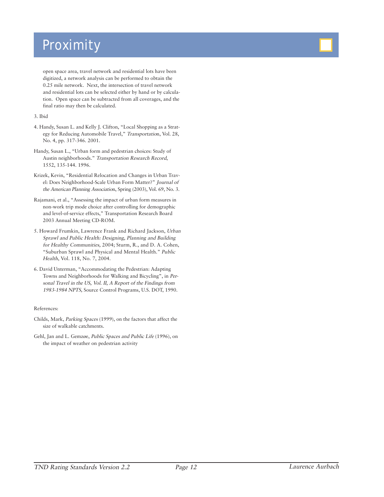# Proximity

open space area, travel network and residential lots have been digitized, a network analysis can be performed to obtain the 0.25 mile network. Next, the intersection of travel network and residential lots can be selected either by hand or by calculation. Open space can be subtracted from all coverages, and the final ratio may then be calculated.

#### 3. Ibid

- 4. Handy, Susan L. and Kelly J. Clifton, "Local Shopping as a Strategy for Reducing Automobile Travel," Transportation, Vol. 28, No. 4, pp. 317-346. 2001.
- Handy, Susan L., "Urban form and pedestrian choices: Study of Austin neighborhoods." Transportation Research Record, 1552, 135-144. 1996.
- Krizek, Kevin, "Residential Relocation and Changes in Urban Travel: Does Neighborhood-Scale Urban Form Matter?" Journal of the American Planning Association, Spring (2003), Vol. 69, No. 3.
- Rajamani, et al., "Assessing the impact of urban form measures in non-work trip mode choice after controlling for demographic and level-of-service effects," Transportation Research Board 2003 Annual Meeting CD-ROM.
- 5. Howard Frumkin, Lawrence Frank and Richard Jackson, Urban Sprawl and Public Health: Designing, Planning and Building for Healthy Communities, 2004; Sturm, R., and D. A. Cohen, "Suburban Sprawl and Physical and Mental Health." Public Health, Vol. 118, No. 7, 2004.
- 6. David Unterman, "Accommodating the Pedestrian: Adapting Towns and Neighborhoods for Walking and Bicycling", in Personal Travel in the US, Vol. II, A Report of the Findings from 1983-1984 NPTS, Source Control Programs, U.S. DOT, 1990.

#### References:

- Childs, Mark, Parking Spaces (1999), on the factors that affect the size of walkable catchments.
- Gehl, Jan and L. Gemzøe, Public Spaces and Public Life (1996), on the impact of weather on pedestrian activity



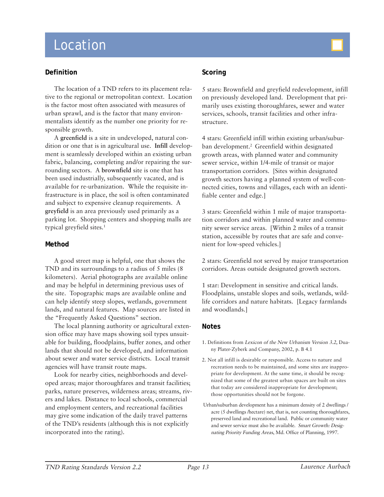# Location

#### **Definition**

The location of a TND refers to its placement relative to the regional or metropolitan context. Location is the factor most often associated with measures of urban sprawl, and is the factor that many environmentalists identify as the number one priority for responsible growth.

A **greenfield** is a site in undeveloped, natural condition or one that is in agricultural use. **Infill** development is seamlessly developed within an existing urban fabric, balancing, completing and/or repairing the surrounding sectors. A **brownfield** site is one that has been used industrially, subsequently vacated, and is available for re-urbanization. While the requisite infrastructure is in place, the soil is often contaminated and subject to expensive cleanup requirements. A **greyfield** is an area previously used primarily as a parking lot. Shopping centers and shopping malls are typical greyfield sites.<sup>1</sup>

#### **Method**

A good street map is helpful, one that shows the TND and its surroundings to a radius of 5 miles (8 kilometers). Aerial photographs are available online and may be helpful in determining previous uses of the site. Topographic maps are available online and can help identify steep slopes, wetlands, government lands, and natural features. Map sources are listed in the "Frequently Asked Questions" section.

The local planning authority or agricultural extension office may have maps showing soil types unsuitable for building, floodplains, buffer zones, and other lands that should not be developed, and information about sewer and water service districts. Local transit agencies will have transit route maps.

Look for nearby cities, neighborhoods and developed areas; major thoroughfares and transit facilities; parks, nature preserves, wilderness areas; streams, rivers and lakes. Distance to local schools, commercial and employment centers, and recreational facilities may give some indication of the daily travel patterns of the TND's residents (although this is not explicitly incorporated into the rating).

### **Scoring**

5 stars: Brownfield and greyfield redevelopment, infill on previously developed land. Development that primarily uses existing thoroughfares, sewer and water services, schools, transit facilities and other infrastructure.

4 stars: Greenfield infill within existing urban/suburban development.<sup>2</sup> Greenfield within designated growth areas, with planned water and community sewer service, within 1/4-mile of transit or major transportation corridors. [Sites within designated growth sectors having a planned system of well-connected cities, towns and villages, each with an identifiable center and edge.]

3 stars: Greenfield within 1 mile of major transportation corridors and within planned water and community sewer service areas. [Within 2 miles of a transit station, accessible by routes that are safe and convenient for low-speed vehicles.]

2 stars: Greenfield not served by major transportation corridors. Areas outside designated growth sectors.

1 star: Development in sensitive and critical lands. Floodplains, unstable slopes and soils, wetlands, wildlife corridors and nature habitats. [Legacy farmlands and woodlands.]

- 1. Definitions from Lexicon of the New Urbanism Version 3.2, Duany Plater-Zyberk and Company, 2002, p. B 4.1
- 2. Not all infill is desirable or responsible. Access to nature and recreation needs to be maintained, and some sites are inappropriate for development. At the same time, it should be recognized that some of the greatest urban spaces are built on sites that today are considered inappropriate for development; those opportunities should not be forgone.
- Urban/suburban development has a minimum density of 2 dwellings / acre (5 dwellings /hectare) net, that is, not counting thoroughfares, preserved land and recreational land. Public or community water and sewer service must also be available. Smart Growth: Designating Priority Funding Areas, Md. Office of Planning, 1997.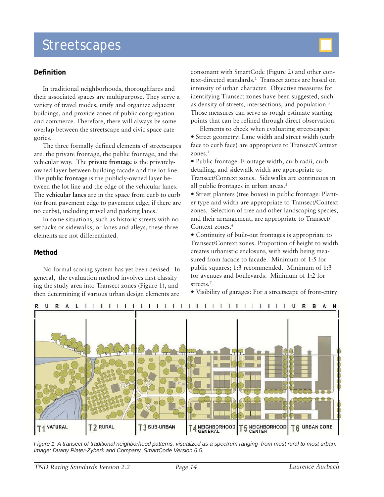## **Streetscapes**

### **Definition**

In traditional neighborhoods, thoroughfares and their associated spaces are multipurpose. They serve a variety of travel modes, unify and organize adjacent buildings, and provide zones of public congregation and commerce. Therefore, there will always be some overlap between the streetscape and civic space categories.

The three formally defined elements of streetscapes are: the private frontage, the public frontage, and the vehicular way. The **private frontage** is the privatelyowned layer between building facade and the lot line. The **public frontage** is the publicly-owned layer between the lot line and the edge of the vehicular lanes. The **vehicular lanes** are in the space from curb to curb (or from pavement edge to pavement edge, if there are no curbs), including travel and parking lanes.<sup>1</sup>

In some situations, such as historic streets with no setbacks or sidewalks, or lanes and alleys, these three elements are not differentiated.

#### **Method**

No formal scoring system has yet been devised. In general, the evaluation method involves first classifying the study area into Transect zones (Figure 1), and then determining if various urban design elements are

consonant with SmartCode (Figure 2) and other context-directed standards.2 Transect zones are based on intensity of urban character. Objective measures for identifying Transect zones have been suggested, such as density of streets, intersections, and population.<sup>3</sup> Those measures can serve as rough-estimate starting points that can be refined through direct observation.

Elements to check when evaluating streetscapes: • Street geometry: Lane width and street width (curb) face to curb face) are appropriate to Transect/Context zones.4

y Public frontage: Frontage width, curb radii, curb detailing, and sidewalk width are appropriate to Transect/Context zones. Sidewalks are continuous in all public frontages in urban areas.<sup>5</sup>

y Street planters (tree boxes) in public frontage: Planter type and width are appropriate to Transect/Context zones. Selection of tree and other landscaping species, and their arrangement, are appropriate to Transect/ Context zones.<sup>6</sup>

• Continuity of built-out frontages is appropriate to Transect/Context zones. Proportion of height to width creates urbanistic enclosure, with width being measured from facade to facade. Minimum of 1:5 for public squares; 1:3 recommended. Minimum of 1:3 for avenues and boulevards. Minimum of 1:2 for streets.<sup>7</sup>

• Visibility of garages: For a streetscape of front-entry



*Figure 1: A transect of traditional neighborhood patterns, visualized as a spectrum ranging from most rural to most urban. Image: Duany Plater-Zyberk and Company, SmartCode Version 6.5.*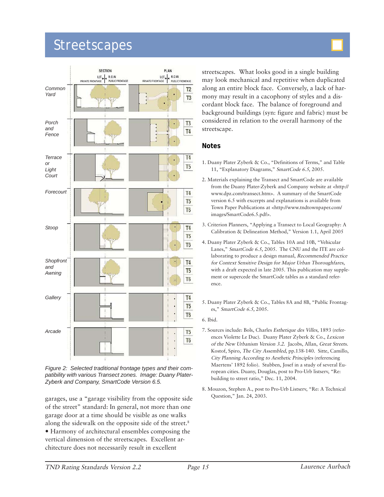## **Streetscapes**





*Figure 2: Selected traditional frontage types and their compatibility with various Transect zones. Image: Duany Plater-Zyberk and Company, SmartCode Version 6.5.*

garages, use a "garage visibility from the opposite side of the street" standard: In general, not more than one garage door at a time should be visible as one walks along the sidewalk on the opposite side of the street.<sup>8</sup> y Harmony of architectural ensembles composing the vertical dimension of the streetscapes. Excellent architecture does not necessarily result in excellent

streetscapes. What looks good in a single building may look mechanical and repetitive when duplicated along an entire block face. Conversely, a lack of harmony may result in a cacophony of styles and a discordant block face. The balance of foreground and background buildings (syn: figure and fabric) must be considered in relation to the overall harmony of the streetscape.

- 1. Duany Plater Zyberk & Co., "Definitions of Terms," and Table 11, "Explanatory Diagrams," SmartCode 6.5, 2005.
- 2. Materials explaining the Transect and SmartCode are available from the Duany Plater-Zyberk and Company website at <http:// www.dpz.com/transect.htm>. A summary of the SmartCode version 6.5 with excerpts and explanations is available from Town Paper Publications at <http://www.tndtownpaper.com/ images/SmartCode6.5.pdf>.
- 3. Criterion Planners, "Applying a Transect to Local Geography: A Calibration & Delineation Method," Version 1.1, April 2005
- 4. Duany Plater Zyberk & Co., Tables 10A and 10B, "Vehicular Lanes," SmartCode 6.5, 2005. The CNU and the ITE are collaborating to produce a design manual, Recommended Practice for Context Sensitive Design for Major Urban Thoroughfares, with a draft expected in late 2005. This publication may supplement or supercede the SmartCode tables as a standard reference.
- 5. Duany Plater Zyberk & Co., Tables 8A and 8B, "Public Frontages," SmartCode 6.5, 2005.
- 6. Ibid.
- 7. Sources include: Bols, Charles Esthetique des Villes, 1893 (references Violette Le Duc). Duany Plater Zyberk & Co., Lexicon of the New Urbanism Version 3.2. Jacobs, Allan, Great Streets. Kostof, Spiro, The City Assembled, pp.138-140. Sitte, Camillo, City Planning According to Aesthetic Principles (referencing Maertens' 1892 folio). Stubben, Josef in a study of several European cities. Duany, Douglas, post to Pro-Urb listserv, "Re: building to street ratio," Dec. 11, 2004.
- 8. Mouzon, Stephen A., post to Pro-Urb Listserv, "Re: A Technical Question," Jan. 24, 2003.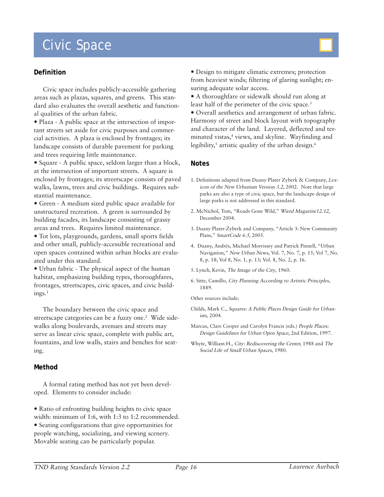# Civic Space

#### **Definition**

Civic space includes publicly-accessible gathering areas such as plazas, squares, and greens. This standard also evaluates the overall aesthetic and functional qualities of the urban fabric.

• Plaza - A public space at the intersection of important streets set aside for civic purposes and commercial activities. A plaza is enclosed by frontages; its landscape consists of durable pavement for parking and trees requiring little maintenance.

• Square - A public space, seldom larger than a block, at the intersection of important streets. A square is enclosed by frontages; its streetscape consists of paved walks, lawns, trees and civic buildings. Requires substantial maintenance.

• Green - A medium sized public space available for unstructured recreation. A green is surrounded by building facades, its landscape consisting of grassy areas and trees. Requires limited maintenance.

• Tot lots, playgrounds, gardens, small sports fields and other small, publicly-accessible recreational and open spaces contained within urban blocks are evaluated under this standard.

• Urban fabric - The physical aspect of the human habitat, emphasizing building types, thoroughfares, frontages, streetscapes, civic spaces, and civic buildings.1

The boundary between the civic space and streetscape categories can be a fuzzy one.<sup>2</sup> Wide sidewalks along boulevards, avenues and streets may serve as linear civic space, complete with public art, fountains, and low walls, stairs and benches for seating.

#### **Method**

A formal rating method has not yet been developed. Elements to consider include:

• Ratio of enfronting building heights to civic space width: minimum of 1:6, with 1:3 to 1:2 recommended. • Seating configurations that give opportunities for people watching, socializing, and viewing scenery. Movable seating can be particularly popular.

 $\bullet$  Design to mitigate climatic extremes; protection from heaviest winds; filtering of glaring sunlight; ensuring adequate solar access.

y A thoroughfare or sidewalk should run along at least half of the perimeter of the civic space.<sup>3</sup>

• Overall aesthetics and arrangement of urban fabric. Harmony of street and block layout with topography and character of the land. Layered, deflected and terminated vistas,4 views, and skyline. Wayfinding and legibility, $^5$  artistic quality of the urban design. $^6$ 

#### **Notes**

- 1. Definitions adapted from Duany Plater Zyberk & Company, Lexicon of the New Urbanism Version 3.2, 2002. Note that large parks are also a type of civic space, but the landscape design of large parks is not addressed in this standard.
- 2. McNichol, Tom, "Roads Gone Wild," Wired Magazine12.12, December 2004.
- 3. Duany Plater-Zyberk and Company, "Article 3: New Community Plans," SmartCode 6.5, 2005.
- 4. Duany, Andrés, Michael Morrissey and Patrick Pinnell, "Urban Navigation," New Urban News, Vol. 7, No. 7, p. 15; Vol 7, No. 8, p. 18; Vol 8, No. 1, p. 13; Vol. 8, No. 2, p. 16.
- 5. Lynch, Kevin, The Image of the City, 1960.
- 6. Sitte, Camillo, City Planning According to Artistic Principles, 1889.

Other sources include:

- Childs, Mark C., Squares: A Public Places Design Guide for Urbanists, 2004.
- Marcus, Clare Cooper and Carolyn Francis (eds.) People Places: Design Guidelines for Urban Open Space, 2nd Edition, 1997.
- Whyte, William H., City: Rediscovering the Center, 1988 and The Social Life of Small Urban Spaces, 1980.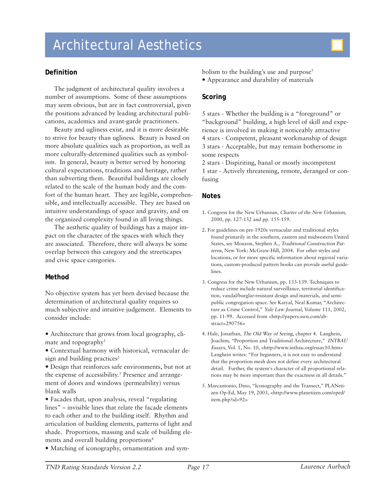

### **Definition**

The judgment of architectural quality involves a number of assumptions. Some of these assumptions may seem obvious, but are in fact controversial, given the positions advanced by leading architectural publications, academics and avant-garde practitioners.

Beauty and ugliness exist, and it is more desirable to strive for beauty than ugliness. Beauty is based on more absolute qualities such as proportion, as well as more culturally-determined qualities such as symbolism. In general, beauty is better served by honoring cultural expectations, traditions and heritage, rather than subverting them. Beautiful buildings are closely related to the scale of the human body and the comfort of the human heart. They are legible, comprehensible, and intellectually accessible. They are based on intuitive understandings of space and gravity, and on the organized complexity found in all living things.

The aesthetic quality of buildings has a major impact on the character of the spaces with which they are associated. Therefore, there will always be some overlap between this category and the streetscapes and civic space categories.

#### **Method**

No objective system has yet been devised because the determination of architectural quality requires so much subjective and intuitive judgement. Elements to consider include:

• Architecture that grows from local geography, climate and topography<sup>1</sup>

• Contextual harmony with historical, vernacular design and building practices<sup>2</sup>

• Design that reinforces safe environments, but not at the expense of accessibility.3 Presence and arrangement of doors and windows (permeability) versus blank walls

• Facades that, upon analysis, reveal "regulating lines" – invisible lines that relate the facade elements to each other and to the building itself. Rhythm and articulation of building elements, patterns of light and shade. Proportions, massing and scale of building elements and overall building proportions<sup>4</sup>

• Matching of iconography, ornamentation and sym-

bolism to the building's use and purpose<sup>5</sup>

• Appearance and durability of materials

### **Scoring**

5 stars - Whether the building is a "foreground" or "background" building, a high level of skill and experience is involved in making it noticeably attractive 4 stars - Competent, pleasant workmanship of design 3 stars - Acceptable, but may remain bothersome in some respects

2 stars - Dispiriting, banal or mostly incompetent 1 star - Actively threatening, remote, deranged or confusing

- 1. Congress for the New Urbanism, Charter of the New Urbanism, 2000, pp. 127-132 and pp. 155-159.
- 2. For guidelines on pre-1920s vernacular and traditional styles found primarily in the southern, eastern and midwestern United States, see Mouzon, Stephen A., Traditional Construction Patterns, New York: McGraw-Hill, 2004. For other styles and locations, or for more specific information about regional variations, custom-produced pattern books can provide useful guidelines.
- 3. Congress for the New Urbanism, pp. 133-139. Techniques to reduce crime include natural surveillance, territorial identification, vandal/burglar-resistant design and materials, and semipublic congregation space. See Katyal, Neal Kumar, "Architecture as Crime Control," Yale Law Journal, Volume 111, 2002, pp. 11-99. Accessed from <http://papers.ssrn.com/abstract=290756>
- 4. Hale, Jonathan, The Old Way of Seeing, chapter 4. Langhein, Joachim, "Proportion and Traditional Architecture," INTBAU Essays, Vol. 1, No. 10, <http://www.intbau.org/essay10.htm> Langhein writes: "For beginners, it is not easy to understand that the proportion mesh does not define every architectural detail. Further, the system's character of all proportional relations may be more important than the exactness in all details."
- 5. Marcantonio, Dino, "Iconography and the Transect," PLANetizen Op-Ed, May 19, 2003, <http://www.planetizen.com/oped/ item.php?id=92>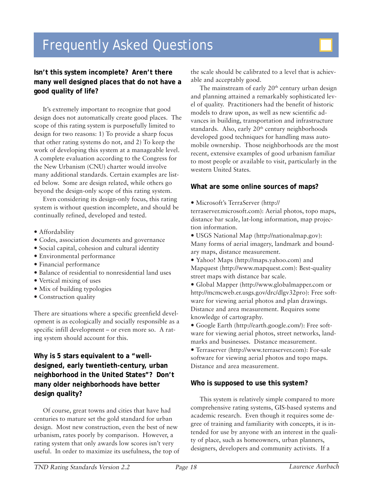# Frequently Asked Questions



## **Isn't this system incomplete? Aren't there many well designed places that do not have a good quality of life?**

It's extremely important to recognize that good design does not automatically create good places. The scope of this rating system is purposefully limited to design for two reasons: 1) To provide a sharp focus that other rating systems do not, and 2) To keep the work of developing this system at a manageable level. A complete evaluation according to the Congress for the New Urbanism (CNU) charter would involve many additional standards. Certain examples are listed below. Some are design related, while others go beyond the design-only scope of this rating system.

Even considering its design-only focus, this rating system is without question incomplete, and should be continually refined, developed and tested.

- Affordability
- Codes, association documents and governance
- Social capital, cohesion and cultural identity
- Environmental performance
- Financial performance
- y Balance of residential to nonresidential land uses
- Vertical mixing of uses
- Mix of building typologies
- Construction quality

There are situations where a specific greenfield development is as ecologically and socially responsible as a specific infill development – or even more so. A rating system should account for this.

## **Why is 5 stars equivalent to a "welldesigned, early twentieth-century, urban neighborhood in the United States"? Don't many older neighborhoods have better design quality?**

Of course, great towns and cities that have had centuries to mature set the gold standard for urban design. Most new construction, even the best of new urbanism, rates poorly by comparison. However, a rating system that only awards low scores isn't very useful. In order to maximize its usefulness, the top of the scale should be calibrated to a level that is achievable and acceptably good.

The mainstream of early  $20<sup>th</sup>$  century urban design and planning attained a remarkably sophisticated level of quality. Practitioners had the benefit of historic models to draw upon, as well as new scientific advances in building, transportation and infrastructure standards. Also, early 20<sup>th</sup> century neighborhoods developed good techniques for handling mass automobile ownership. Those neighborhoods are the most recent, extensive examples of good urbanism familiar to most people or available to visit, particularly in the western United States.

#### **What are some online sources of maps?**

y Microsoft's TerraServer (http://

terraserver.microsoft.com): Aerial photos, topo maps, distance bar scale, lat-long information, map projection information.

y USGS National Map (http://nationalmap.gov): Many forms of aerial imagery, landmark and boundary maps, distance measurement.

- Yahoo! Maps (http://maps.yahoo.com) and Mapquest (http://www.mapquest.com): Best-quality street maps with distance bar scale.
- y Global Mapper (http://www.globalmapper.com or http://mcmcweb.er.usgs.gov/drc/dlgv32pro): Free software for viewing aerial photos and plan drawings. Distance and area measurement. Requires some knowledge of cartography.

y Google Earth (http://earth.google.com/): Free software for viewing aerial photos, street networks, landmarks and businesses. Distance measurement.

• Terraserver (http://www.terraserver.com): For-sale software for viewing aerial photos and topo maps. Distance and area measurement.

#### **Who is supposed to use this system?**

This system is relatively simple compared to more comprehensive rating systems, GIS-based systems and academic research. Even though it requires some degree of training and familiarity with concepts, it is intended for use by anyone with an interest in the quality of place, such as homeowners, urban planners, designers, developers and community activists. If a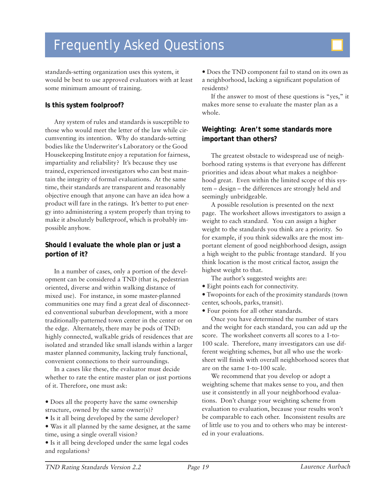# Frequently Asked Questions

standards-setting organization uses this system, it would be best to use approved evaluators with at least some minimum amount of training.

## **Is this system foolproof?**

Any system of rules and standards is susceptible to those who would meet the letter of the law while circumventing its intention. Why do standards-setting bodies like the Underwriter's Laboratory or the Good Housekeeping Institute enjoy a reputation for fairness, impartiality and reliability? It's because they use trained, experienced investigators who can best maintain the integrity of formal evaluations. At the same time, their standards are transparent and reasonably objective enough that anyone can have an idea how a product will fare in the ratings. It's better to put energy into administering a system properly than trying to make it absolutely bulletproof, which is probably impossible anyhow.

## **Should I evaluate the whole plan or just a portion of it?**

In a number of cases, only a portion of the development can be considered a TND (that is, pedestrian oriented, diverse and within walking distance of mixed use). For instance, in some master-planned communities one may find a great deal of disconnected conventional suburban development, with a more traditionally-patterned town center in the center or on the edge. Alternately, there may be pods of TND: highly connected, walkable grids of residences that are isolated and stranded like small islands within a larger master planned community, lacking truly functional, convenient connections to their surroundings.

In a cases like these, the evaluator must decide whether to rate the entire master plan or just portions of it. Therefore, one must ask:

• Does all the property have the same ownership structure, owned by the same owner(s)?

• Is it all being developed by the same developer?

• Was it all planned by the same designer, at the same time, using a single overall vision?

• Is it all being developed under the same legal codes and regulations?

 $\bullet$  Does the TND component fail to stand on its own as a neighborhood, lacking a significant population of residents?

If the answer to most of these questions is "yes," it makes more sense to evaluate the master plan as a whole.

## **Weighting: Aren't some standards more important than others?**

The greatest obstacle to widespread use of neighborhood rating systems is that everyone has different priorities and ideas about what makes a neighborhood great. Even within the limited scope of this system – design – the differences are strongly held and seemingly unbridgeable.

A possible resolution is presented on the next page. The worksheet allows investigators to assign a weight to each standard. You can assign a higher weight to the standards you think are a priority. So for example, if you think sidewalks are the most important element of good neighborhood design, assign a high weight to the public frontage standard. If you think location is the most critical factor, assign the highest weight to that.

The author's suggested weights are:

 $\bullet$  Eight points each for connectivity.

• Twopoints for each of the proximity standards (town center, schools, parks, transit).

y Four points for all other standards.

Once you have determined the number of stars and the weight for each standard, you can add up the score. The worksheet converts all scores to a 1-to-100 scale. Therefore, many investigators can use different weighting schemes, but all who use the worksheet will finish with overall neighborhood scores that are on the same 1-to-100 scale.

We recommend that you develop or adopt a weighting scheme that makes sense to you, and then use it consistently in all your neighborhood evaluations. Don't change your weighting scheme from evaluation to evaluation, because your results won't be comparable to each other. Inconsistent results are of little use to you and to others who may be interested in your evaluations.